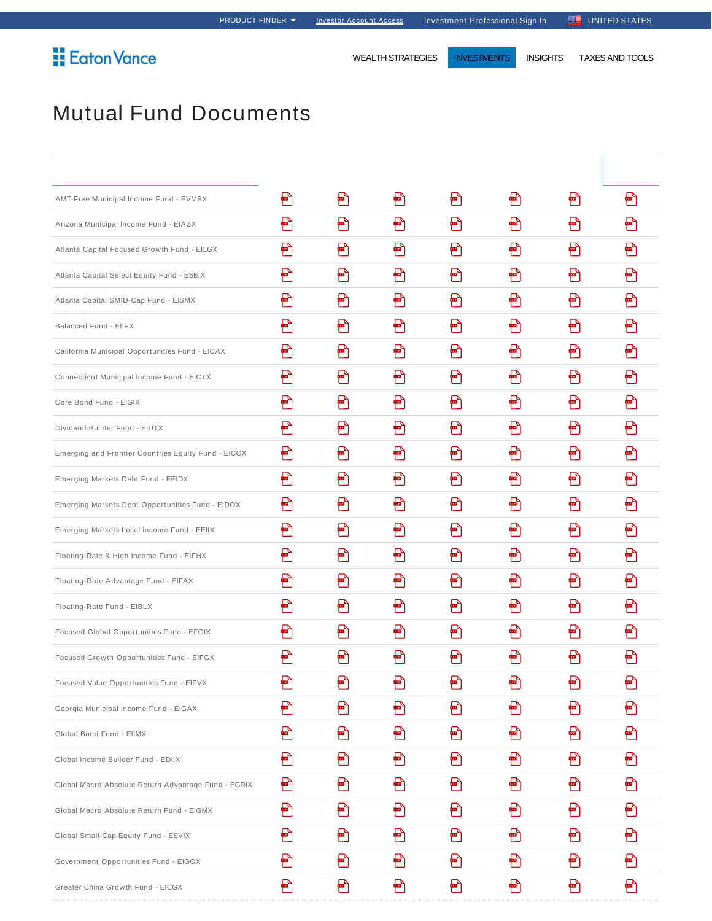**Eaton Vance** 

WEALTH STRATEGIES **INVESTMENTS** INSIGHTS TAXES AND TOOLS

# Mutual Fund Documents

| AMT-Free Municipal Income Fund - EVMBX              | ₽ | 骨              | ₽  | 骨 | ₽ | 骨  | ₽ |
|-----------------------------------------------------|---|----------------|----|---|---|----|---|
| Arizona Municipal Income Fund - EIAZX               | Ð | ₽              | ₽  | ฅ | Ð | ₽  | ₽ |
| Atlanta Capital Focused Growth Fund - EILGX         | 骨 | ₽              | ₽  | ₽ | ₽ | ₽  | ₽ |
| Atlanta Capital Select Equity Fund - ESEIX          | ₽ | ₽              | ₽  | 骨 | ₽ | ₽  | ₽ |
| Atlanta Capital SMID-Cap Fund - EISMX               | ₽ | ₽              | ₽  | ₽ | ฅ | ₽  | ₽ |
| Balanced Fund - EIIFX                               | 骨 | $\blacksquare$ | ฅ  | 骨 | Ð | 骨  | ₽ |
| California Municipal Opportunities Fund - EICAX     | ₽ | ₽              | ₽  | ₽ | ₽ | ₽  | ₽ |
| Connecticut Municipal Income Fund - EICTX           | Ð | ₽              | 骨  | 骨 | Ð | ₽  | ₽ |
| Core Bond Fund - EIGIX                              | ₽ | ₽              | ₽  | ₽ | ₽ | ₽  | ₽ |
| Dividend Builder Fund - EIUTX                       | ₽ | ₽              | ₽  | 骨 | ฅ | ₽  | ₽ |
| Emerging and Frontier Countries Equity Fund - EICOX | ₽ | ₽              | ₽  | 冎 | ₽ | ₽  | ₽ |
| Emerging Markets Debt Fund - EEIDX                  | ₽ | ₽              | ₽  | ₽ | ₽ | ₽  | ₽ |
| Emerging Markets Debt Opportunities Fund - EIDOX    | 骨 | ₽              | ₽  | 骨 | ₽ | 骨  | ₽ |
| Emerging Markets Local Income Fund - EEIIX          | ₽ | ₽              | ₽  | ₽ | ₽ | ₽  | ₽ |
| Floating-Rate & High Income Fund - EIFHX            | 骨 | F              | ₽  | 骨 | ฅ | ฅ  | ₽ |
| Floating-Rate Advantage Fund - EIFAX                | ₽ | 冎              | ₽  | ₽ | ₽ | ₽  | ₽ |
| Floating-Rate Fund - EIBLX                          | ₽ | ₽              | ₽  | ฅ | ₽ | ฅ  | ₽ |
| Focused Global Opportunities Fund - EFGIX           | ₽ | ₽              | ₽  | ₽ | ₽ | F  | ₽ |
| Focused Growth Opportunities Fund - EIFGX           | ₽ | ₽              | ┢┛ | ₽ | ₽ | ┢╝ | 굡 |
| Focused Value Opportunities Fund - EIFVX            | E | Ð              | ╞╝ | ₽ | Ð | m  | ฅ |
| Georgia Municipal Income Fund - EIGAX               | Ð | ₽              | Ð  | ₽ | Ð | ฅ  | ₽ |
| Global Bond Fund - EIIMX                            | Ð | Ð              | ₽  | ₽ | Ð | ₽  | ₽ |
| Global Income Builder Fund - EDIIX                  | Ð | 骨              | Ð  | Ð | Ð | 骨  | ₽ |
| Global Macro Absolute Return Advantage Fund - EGRIX | Ð | ₽              | Ð  | ₽ | € | ฅ  | ₽ |
| Global Macro Absolute Return Fund - EIGMX           | Ð | Ð              | ₽  | Ð | Ð | ฅ  | ₽ |
| Global Small-Cap Equity Fund - ESVIX                | Ð | Ð              | Ð  | 骨 | Ð | 骨  | 骨 |
| Government Opportunities Fund - EIGOX               | ₽ | ▛              | ฅ  | ₽ | ₽ | ฅ  | ₽ |
| Greater China Growth Fund - EICGX                   | € | ₽              | Ð  | F | Ð | Ð  | ₽ |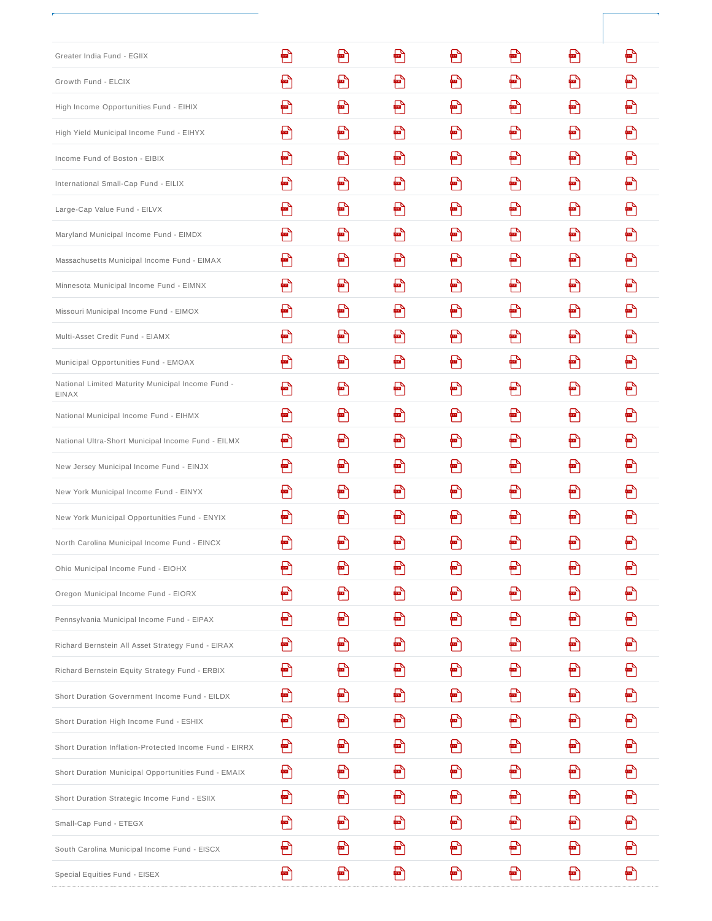| Greater India Fund - EGIIX                                 | ₽  | ₽            | ₽  | ₽ | ₽  | ₽ | ₽ |
|------------------------------------------------------------|----|--------------|----|---|----|---|---|
| Growth Fund - ELCIX                                        | ₽  | $\mathbb{P}$ | ₽  | 骨 | m  | ฅ | ₽ |
| High Income Opportunities Fund - EIHIX                     | ₽  | ₽            | 찁  | ₽ | ₽  | ₽ | ₽ |
| High Yield Municipal Income Fund - EIHYX                   | ₽  | $\mathbb{P}$ | ┢╝ | 骨 | ₽  | ₽ | ₽ |
| Income Fund of Boston - EIBIX                              | ₽  | ₽            | ₽  | ₽ | ₽  | ₽ | ₽ |
| International Small-Cap Fund - EILIX                       | ┢┛ | F            | ┢┚ | 骨 | ┢┛ | ฅ | ₽ |
| Large-Cap Value Fund - EILVX                               | ₽  | ₽            | ₽  | ₽ | ┢┑ | ₽ | ₽ |
| Maryland Municipal Income Fund - EIMDX                     | ₽  | ₽            | ₽  | 骨 | ₽  | ฅ | ₽ |
| Massachusetts Municipal Income Fund - EIMAX                | ₽  | ₽            | ╇┑ | 骨 | ╞  | ₽ | ₽ |
| Minnesota Municipal Income Fund - EIMNX                    | ₽  | ₽            | ₽  | ฅ | ₽  | ₽ | ₽ |
| Missouri Municipal Income Fund - EIMOX                     | ₽  | ₽            | ₽  | ฅ | ฅ  | F | ₽ |
| Multi-Asset Credit Fund - EIAMX                            | ₽  | ฅ            | ₽  | ₽ | ₽  | ₽ | ₽ |
| Municipal Opportunities Fund - EMOAX                       | ₽  | m            | ₽  | ฅ | ₽  | ฅ | ₽ |
| National Limited Maturity Municipal Income Fund -<br>EINAX | ₽  | 骨            | ฅ  | 骨 | P  | ฅ | ₽ |
| National Municipal Income Fund - EIHMX                     | ₽  | ₽            | ╇┑ | 骨 | ₽  | ฅ | ₽ |
| National Ultra-Short Municipal Income Fund - EILMX         | ₽  | ₽            | ₽  | ₽ | ₽  | ₽ | ₽ |
| New Jersey Municipal Income Fund - EINJX                   | ₽  | ₽            | ┢┻ | 骨 | ₽  | 骨 | ₽ |
| New York Municipal Income Fund - EINYX                     | ₽  | ₽            | ₽  | 冎 | ┢┑ | ₽ | ₽ |
| New York Municipal Opportunities Fund - ENYIX              | ₽  | ฅ            | ₽  | 骨 | ┢╸ | ₽ | ₽ |
| North Carolina Municipal Income Fund - EINCX               | ₽  | ฅ            | ₽  | ₽ | ₽  | ₽ | ₽ |
| Ohio Municipal Income Fund - EIOHX                         | ₽  | ₽            | ₽  | ₽ | ₽  | P | ₽ |
| Oregon Municipal Income Fund - EIORX                       | 骨  | 骨            | ╞╝ | 骨 | ฅ  | F | 骨 |
| Pennsylvania Municipal Income Fund - EIPAX                 | ₽  | Ð            | Ð  | € | ₽  | ₽ | Ð |
| Richard Bernstein All Asset Strategy Fund - EIRAX          | ₽  | ฅ            | ₽  | ฅ | ₽  | ฅ | ₽ |
| Richard Bernstein Equity Strategy Fund - ERBIX             | ₽  | 骨            | ╇┑ | 骨 | ฅ  | 骨 | ₽ |
| Short Duration Government Income Fund - EILDX              | ₽  | ₽            | Ð  | Ð | ₽  | 冎 | Ð |
| Short Duration High Income Fund - ESHIX                    | ₽  | ฅ            | ₽  | 骨 | ฅ  | 骨 | ₽ |
| Short Duration Inflation-Protected Income Fund - EIRRX     | Ð  | €            | ╞╝ | ₩ | ฅ  | 骨 | ₽ |
| Short Duration Municipal Opportunities Fund - EMAIX        | ₽  | ₽            | ₽  | ₽ | ₽  | ₽ | Ð |
| Short Duration Strategic Income Fund - ESIIX               | ₽  | 骨            | ฅ  | 骨 | F  | 骨 | ₽ |
| Small-Cap Fund - ETEGX                                     | ₽  | ฅ            | ₽  | Ð | ₽  | ₽ | ₽ |
| South Carolina Municipal Income Fund - EISCX               | ₽  | ₽            | ฅ  | ₽ | ฅ  | ₽ | ₽ |
| Special Equities Fund - EISEX                              | ₩  | ▩            | Ð  | Ð | ₩  | Ð | 骨 |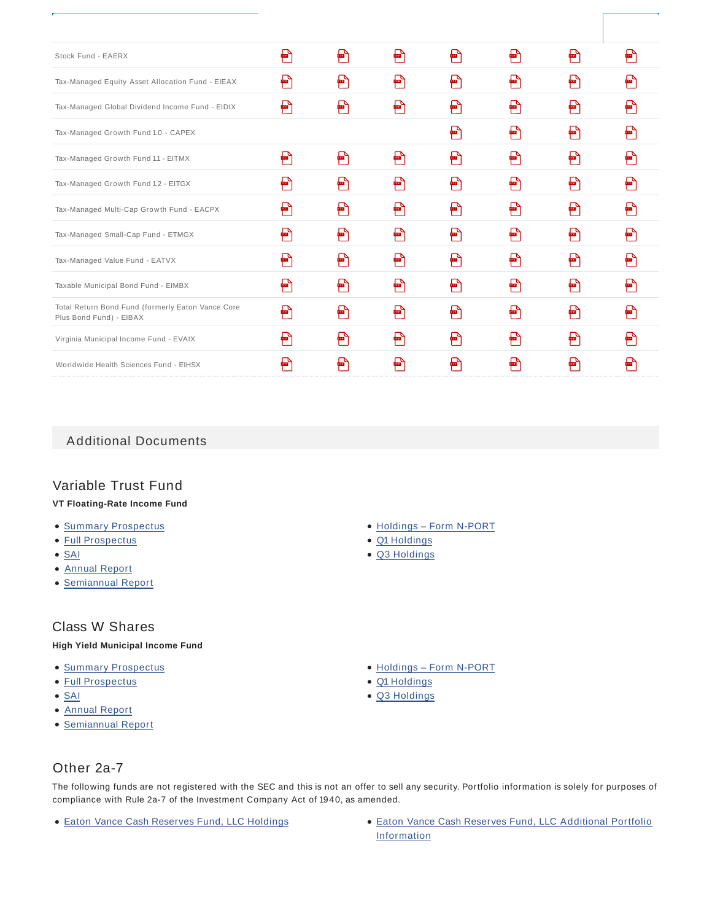| Stock Fund - EAERX                                                           | ₽ | ₽ | ₽ | ₽          | ₽ | ₽                      | ₽            |
|------------------------------------------------------------------------------|---|---|---|------------|---|------------------------|--------------|
| Tax-Managed Equity Asset Allocation Fund - EIEAX                             | ₽ | ₽ | ₽ | F          | F | ₽                      |              |
| Tax-Managed Global Dividend Income Fund - EIDIX                              | ₽ | ₽ | ₽ | ₽          | ₽ | ₽                      | ₽            |
| Tax-Managed Growth Fund 1.0 - CAPEX                                          |   |   |   | ₽          | ₽ | ₽                      | ₽            |
| Tax-Managed Growth Fund 1.1 - EITMX                                          | ₽ | ₽ | ₽ | ₽          | ₽ | ₽                      | ₽            |
| Tax-Managed Growth Fund 1.2 - EITGX                                          | ₽ | ₽ | ₽ | ₽          | ₽ | ₽                      | ₽            |
| Tax-Managed Multi-Cap Growth Fund - EACPX                                    | ₽ | ₽ | 무 | ₽          | ₽ | ₽                      |              |
| Tax-Managed Small-Cap Fund - ETMGX                                           | ₽ | ₽ | ₽ | ₽          | ₽ | ₽                      | ₽            |
| Tax-Managed Value Fund - EATVX                                               | ₽ | ₽ | ₽ | ₽          | ₽ | $\sqrt{\frac{2}{\pi}}$ | $\mathbb{F}$ |
| Taxable Municipal Bond Fund - EIMBX                                          | ₽ | ₽ | ₽ | ₽          | ₽ | ₽                      | ₽            |
| Total Return Bond Fund (formerly Eaton Vance Core<br>Plus Bond Fund) - EIBAX | ₽ | ₽ | ₽ | ₽          | ₽ | ₽                      | ₽            |
| Virginia Municipal Income Fund - EVAIX                                       | ₽ | 骨 | ₽ | <b>PER</b> | ₽ | ₽                      | ₽            |
| Worldwide Health Sciences Fund - EIHSX                                       |   |   |   |            | ₽ |                        |              |
|                                                                              |   |   |   |            |   |                        |              |

Additional Documents

## Variable Trust Fund

#### **VT Floating-Rate Income Fund**

- Summary Prospectus
- Full Prospectus
- $\bullet$  SAI
- Annual Report
- Semiannual Report

### Class W Shares

#### **High Yield Municipal Income Fund**

- **Summary Prospectus**
- Full Prospectus
- $\bullet$  SAI
- Annual Report
- Semiannual Report
- Holdings Form N-PORT
- Q1 Holdings
- Q3 Holdings

- Holdings Form N-PORT
- Q1 Holdings
- Q3 Holdings

Other 2a-7

The following funds are not registered with the SEC and this is not an offer to sell any security. Portfolio information is solely for purposes of compliance with Rule 2a-7 of the Investment Company Act of 1940, as amended.

- 
- Eaton Vance Cash Reserves Fund, LLC Holdings Eaton Vance Cash Reserves Fund, LLC Additional Portfolio Information